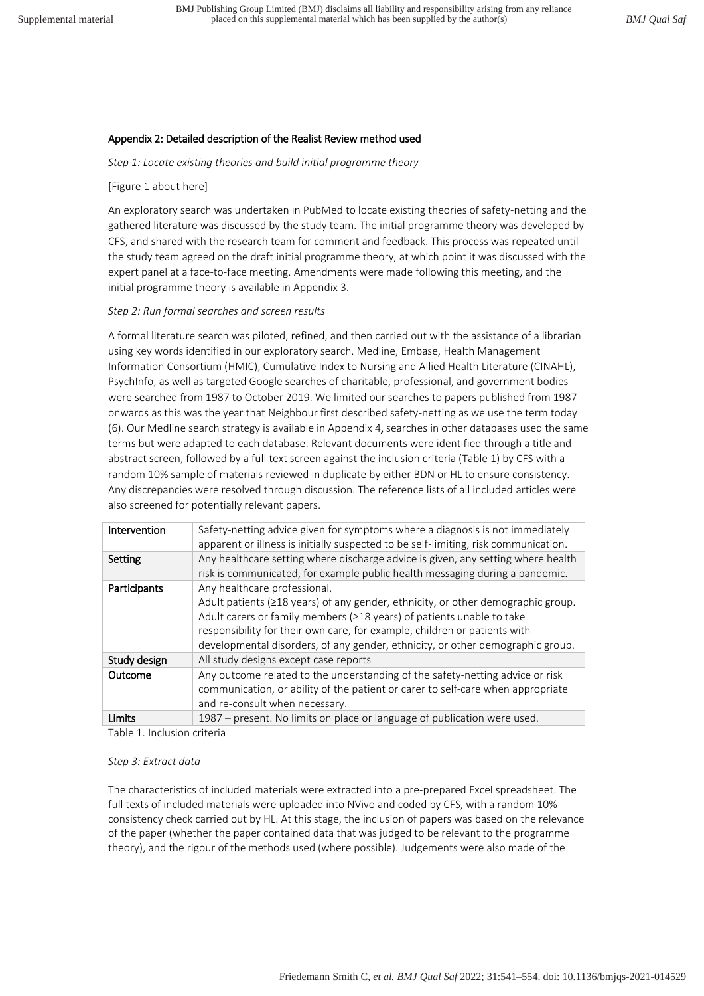## Appendix 2: Detailed description of the Realist Review method used

*Step 1: Locate existing theories and build initial programme theory* 

#### [Figure 1 about here]

An exploratory search was undertaken in PubMed to locate existing theories of safety-netting and the gathered literature was discussed by the study team. The initial programme theory was developed by CFS, and shared with the research team for comment and feedback. This process was repeated until the study team agreed on the draft initial programme theory, at which point it was discussed with the expert panel at a face-to-face meeting. Amendments were made following this meeting, and the initial programme theory is available in Appendix 3.

#### *Step 2: Run formal searches and screen results*

A formal literature search was piloted, refined, and then carried out with the assistance of a librarian using key words identified in our exploratory search. Medline, Embase, Health Management Information Consortium (HMIC), Cumulative Index to Nursing and Allied Health Literature (CINAHL), PsychInfo, as well as targeted Google searches of charitable, professional, and government bodies were searched from 1987 to October 2019. We limited our searches to papers published from 1987 onwards as this was the year that Neighbour first described safety-netting as we use the term today (6). Our Medline search strategy is available in Appendix 4, searches in other databases used the same terms but were adapted to each database. Relevant documents were identified through a title and abstract screen, followed by a full text screen against the inclusion criteria (Table 1) by CFS with a random 10% sample of materials reviewed in duplicate by either BDN or HL to ensure consistency. Any discrepancies were resolved through discussion. The reference lists of all included articles were also screened for potentially relevant papers.

| Safety-netting advice given for symptoms where a diagnosis is not immediately<br>apparent or illness is initially suspected to be self-limiting, risk communication.                                                                                                                                                                                            |
|-----------------------------------------------------------------------------------------------------------------------------------------------------------------------------------------------------------------------------------------------------------------------------------------------------------------------------------------------------------------|
| Any healthcare setting where discharge advice is given, any setting where health<br>risk is communicated, for example public health messaging during a pandemic.                                                                                                                                                                                                |
| Any healthcare professional.<br>Adult patients ( $\geq$ 18 years) of any gender, ethnicity, or other demographic group.<br>Adult carers or family members (≥18 years) of patients unable to take<br>responsibility for their own care, for example, children or patients with<br>developmental disorders, of any gender, ethnicity, or other demographic group. |
| All study designs except case reports                                                                                                                                                                                                                                                                                                                           |
| Any outcome related to the understanding of the safety-netting advice or risk<br>communication, or ability of the patient or carer to self-care when appropriate<br>and re-consult when necessary.                                                                                                                                                              |
| 1987 – present. No limits on place or language of publication were used.                                                                                                                                                                                                                                                                                        |
|                                                                                                                                                                                                                                                                                                                                                                 |

Table 1. Inclusion criteria

#### *Step 3: Extract data*

The characteristics of included materials were extracted into a pre-prepared Excel spreadsheet. The full texts of included materials were uploaded into NVivo and coded by CFS, with a random 10% consistency check carried out by HL. At this stage, the inclusion of papers was based on the relevance of the paper (whether the paper contained data that was judged to be relevant to the programme theory), and the rigour of the methods used (where possible). Judgements were also made of the